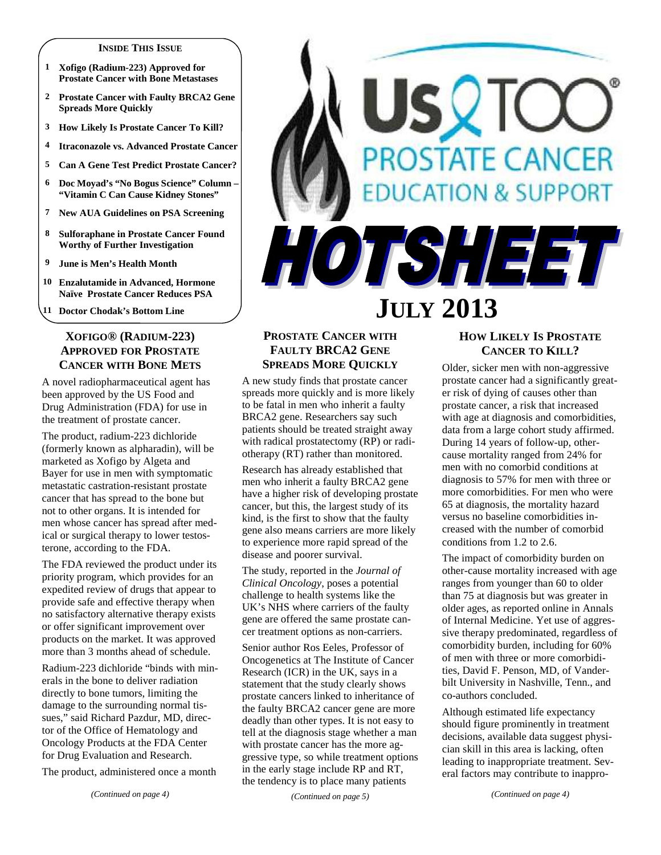#### **INSIDE THIS ISSUE**

- **1 Xofigo (Radium-223) Approved for Prostate Cancer with Bone Metastases**
- **2 Prostate Cancer with Faulty BRCA2 Gene Spreads More Quickly**
- **3 How Likely Is Prostate Cancer To Kill?**
- **4 Itraconazole vs. Advanced Prostate Cancer**
- **5 Can A Gene Test Predict Prostate Cancer?**
- **6 Doc Moyad's "No Bogus Science" Column "Vitamin C Can Cause Kidney Stones"**
- **7 New AUA Guidelines on PSA Screening**
- **8 Sulforaphane in Prostate Cancer Found Worthy of Further Investigation**
- **9 June is Men's Health Month**
- **10 Enzalutamide in Advanced, Hormone Naïve Prostate Cancer Reduces PSA**

**11 Doctor Chodak's Bottom Line** 

# **XOFIGO® (RADIUM-223) APPROVED FOR PROSTATE CANCER WITH BONE METS**

A novel radiopharmaceutical agent has been approved by the US Food and Drug Administration (FDA) for use in the treatment of prostate cancer.

The product, radium-223 dichloride (formerly known as alpharadin), will be marketed as Xofigo by Algeta and Bayer for use in men with symptomatic metastatic castration-resistant prostate cancer that has spread to the bone but not to other organs. It is intended for men whose cancer has spread after medical or surgical therapy to lower testosterone, according to the FDA.

The FDA reviewed the product under its priority program, which provides for an expedited review of drugs that appear to provide safe and effective therapy when no satisfactory alternative therapy exists or offer significant improvement over products on the market. It was approved more than 3 months ahead of schedule.

Radium-223 dichloride "binds with minerals in the bone to deliver radiation directly to bone tumors, limiting the damage to the surrounding normal tissues," said Richard Pazdur, MD, director of the Office of Hematology and Oncology Products at the FDA Center for Drug Evaluation and Research.

The product, administered once a month

# **OSTATE CANCER TON & SUPPORT** HOTSHEET

# **JULY 2013**

# **PROSTATE CANCER WITH FAULTY BRCA2 GENE SPREADS MORE QUICKLY**

A new study finds that prostate cancer spreads more quickly and is more likely to be fatal in men who inherit a faulty BRCA2 gene. Researchers say such patients should be treated straight away with radical prostatectomy (RP) or radiotherapy (RT) rather than monitored.

Research has already established that men who inherit a faulty BRCA2 gene have a higher risk of developing prostate cancer, but this, the largest study of its kind, is the first to show that the faulty gene also means carriers are more likely to experience more rapid spread of the disease and poorer survival.

The study, reported in the *Journal of Clinical Oncology*, poses a potential challenge to health systems like the UK's NHS where carriers of the faulty gene are offered the same prostate cancer treatment options as non-carriers.

Senior author Ros Eeles, Professor of Oncogenetics at The Institute of Cancer Research (ICR) in the UK, says in a statement that the study clearly shows prostate cancers linked to inheritance of the faulty BRCA2 cancer gene are more deadly than other types. It is not easy to tell at the diagnosis stage whether a man with prostate cancer has the more aggressive type, so while treatment options in the early stage include RP and RT, the tendency is to place many patients

*(Continued on page 5)* 

# **HOW LIKELY IS PROSTATE CANCER TO KILL?**

Older, sicker men with non-aggressive prostate cancer had a significantly greater risk of dying of causes other than prostate cancer, a risk that increased with age at diagnosis and comorbidities, data from a large cohort study affirmed. During 14 years of follow-up, othercause mortality ranged from 24% for men with no comorbid conditions at diagnosis to 57% for men with three or more comorbidities. For men who were 65 at diagnosis, the mortality hazard versus no baseline comorbidities increased with the number of comorbid conditions from 1.2 to 2.6.

The impact of comorbidity burden on other-cause mortality increased with age ranges from younger than 60 to older than 75 at diagnosis but was greater in older ages, as reported online in Annals of Internal Medicine. Yet use of aggressive therapy predominated, regardless of comorbidity burden, including for 60% of men with three or more comorbidities, David F. Penson, MD, of Vanderbilt University in Nashville, Tenn., and co-authors concluded.

Although estimated life expectancy should figure prominently in treatment decisions, available data suggest physician skill in this area is lacking, often leading to inappropriate treatment. Several factors may contribute to inappro-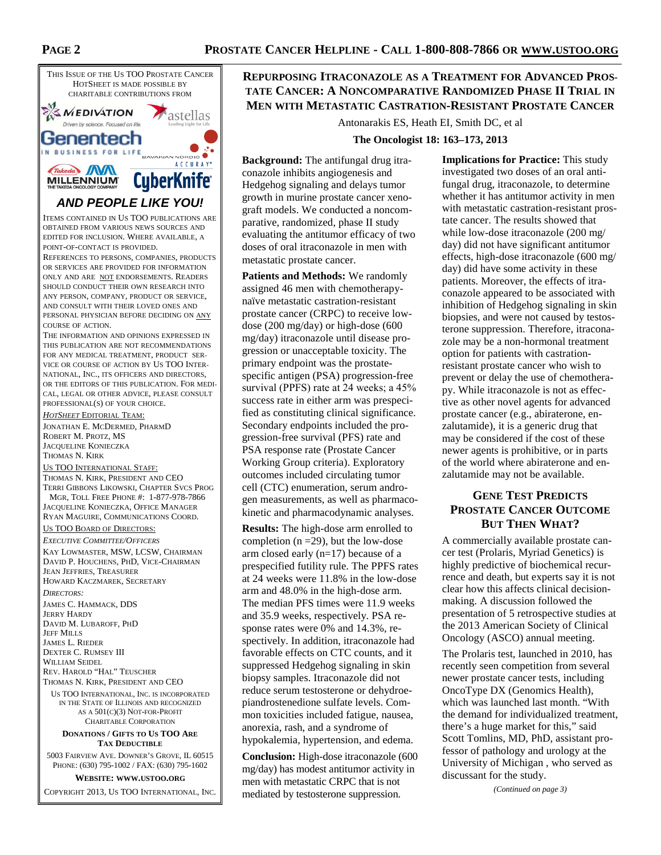

EDITED FOR INCLUSION. WHERE AVAILABLE, A POINT-OF-CONTACT IS PROVIDED.

REFERENCES TO PERSONS, COMPANIES, PRODUCTS OR SERVICES ARE PROVIDED FOR INFORMATION ONLY AND ARE NOT ENDORSEMENTS. READERS SHOULD CONDUCT THEIR OWN RESEARCH INTO ANY PERSON, COMPANY, PRODUCT OR SERVICE, AND CONSULT WITH THEIR LOVED ONES AND PERSONAL PHYSICIAN BEFORE DECIDING ON ANY COURSE OF ACTION.

THE INFORMATION AND OPINIONS EXPRESSED IN THIS PUBLICATION ARE NOT RECOMMENDATIONS FOR ANY MEDICAL TREATMENT, PRODUCT SER-VICE OR COURSE OF ACTION BY US TOO INTER-NATIONAL, INC., ITS OFFICERS AND DIRECTORS, OR THE EDITORS OF THIS PUBLICATION. FOR MEDI-CAL, LEGAL OR OTHER ADVICE, PLEASE CONSULT PROFESSIONAL(S) OF YOUR CHOICE.

*HOTSHEET* EDITORIAL TEAM: JONATHAN E. MCDERMED, PHARMD ROBERT M. PROTZ, MS JACQUELINE KONIECZKA THOMAS N. KIRK

#### US TOO INTERNATIONAL STAFF:

THOMAS N. KIRK, PRESIDENT AND CEO TERRI GIBBONS LIKOWSKI, CHAPTER SVCS PROG MGR, TOLL FREE PHONE #: 1-877-978-7866 JACQUELINE KONIECZKA, OFFICE MANAGER RYAN MAGUIRE, COMMUNICATIONS COORD.

#### US TOO BOARD OF DIRECTORS:

*EXECUTIVE COMMITTEE/OFFICERS* KAY LOWMASTER, MSW, LCSW, CHAIRMAN DAVID P. HOUCHENS, PHD, VICE-CHAIRMAN JEAN JEFFRIES, TREASURER HOWARD KACZMAREK, SECRETARY

*DIRECTORS:* 

JAMES C. HAMMACK, DDS JERRY HARDY DAVID M. LUBAROFF, PHD JEFF MILLS JAMES L. RIEDER DEXTER C. RUMSEY III WILLIAM SEIDEL REV. HAROLD "HAL" TEUSCHER THOMAS N. KIRK, PRESIDENT AND CEO

US TOO INTERNATIONAL, INC. IS INCORPORATED IN THE STATE OF ILLINOIS AND RECOGNIZED AS A 501(C)(3) NOT-FOR-PROFIT CHARITABLE CORPORATION

#### **DONATIONS / GIFTS TO US TOO ARE TAX DEDUCTIBLE**

5003 FAIRVIEW AVE. DOWNER'S GROVE, IL 60515 PHONE: (630) 795-1002 / FAX: (630) 795-1602

**WEBSITE: WWW.USTOO.ORG**

COPYRIGHT 2013, US TOO INTERNATIONAL, INC.

# **REPURPOSING ITRACONAZOLE AS A TREATMENT FOR ADVANCED PROS-TATE CANCER: A NONCOMPARATIVE RANDOMIZED PHASE II TRIAL IN MEN WITH METASTATIC CASTRATION-RESISTANT PROSTATE CANCER**

Antonarakis ES, Heath EI, Smith DC, et al

#### **The Oncologist 18: 163–173, 2013**

**Background:** The antifungal drug itraconazole inhibits angiogenesis and Hedgehog signaling and delays tumor growth in murine prostate cancer xenograft models. We conducted a noncomparative, randomized, phase II study evaluating the antitumor efficacy of two doses of oral itraconazole in men with metastatic prostate cancer.

**Patients and Methods:** We randomly assigned 46 men with chemotherapynaïve metastatic castration-resistant prostate cancer (CRPC) to receive lowdose (200 mg/day) or high-dose (600 mg/day) itraconazole until disease progression or unacceptable toxicity. The primary endpoint was the prostatespecific antigen (PSA) progression-free survival (PPFS) rate at 24 weeks; a 45% success rate in either arm was prespecified as constituting clinical significance. Secondary endpoints included the progression-free survival (PFS) rate and PSA response rate (Prostate Cancer Working Group criteria). Exploratory outcomes included circulating tumor cell (CTC) enumeration, serum androgen measurements, as well as pharmacokinetic and pharmacodynamic analyses.

**Results:** The high-dose arm enrolled to completion ( $n = 29$ ), but the low-dose arm closed early (n=17) because of a prespecified futility rule. The PPFS rates at 24 weeks were 11.8% in the low-dose arm and 48.0% in the high-dose arm. The median PFS times were 11.9 weeks and 35.9 weeks, respectively. PSA response rates were 0% and 14.3%, respectively. In addition, itraconazole had favorable effects on CTC counts, and it suppressed Hedgehog signaling in skin biopsy samples. Itraconazole did not reduce serum testosterone or dehydroepiandrostenedione sulfate levels. Common toxicities included fatigue, nausea, anorexia, rash, and a syndrome of hypokalemia, hypertension, and edema.

**Conclusion:** High-dose itraconazole (600 mg/day) has modest antitumor activity in men with metastatic CRPC that is not mediated by testosterone suppression.

**Implications for Practice:** This study investigated two doses of an oral antifungal drug, itraconazole, to determine whether it has antitumor activity in men with metastatic castration-resistant prostate cancer. The results showed that while low-dose itraconazole (200 mg/ day) did not have significant antitumor effects, high-dose itraconazole (600 mg/ day) did have some activity in these patients. Moreover, the effects of itraconazole appeared to be associated with inhibition of Hedgehog signaling in skin biopsies, and were not caused by testosterone suppression. Therefore, itraconazole may be a non-hormonal treatment option for patients with castrationresistant prostate cancer who wish to prevent or delay the use of chemotherapy. While itraconazole is not as effective as other novel agents for advanced prostate cancer (e.g., abiraterone, enzalutamide), it is a generic drug that may be considered if the cost of these newer agents is prohibitive, or in parts of the world where abiraterone and enzalutamide may not be available.

# **GENE TEST PREDICTS PROSTATE CANCER OUTCOME BUT THEN WHAT?**

A commercially available prostate cancer test (Prolaris, Myriad Genetics) is highly predictive of biochemical recurrence and death, but experts say it is not clear how this affects clinical decisionmaking. A discussion followed the presentation of 5 retrospective studies at the 2013 American Society of Clinical Oncology (ASCO) annual meeting.

The Prolaris test, launched in 2010, has recently seen competition from several newer prostate cancer tests, including OncoType DX (Genomics Health), which was launched last month. "With the demand for individualized treatment, there's a huge market for this," said Scott Tomlins, MD, PhD, assistant professor of pathology and urology at the University of Michigan , who served as discussant for the study.

*(Continued on page 3)*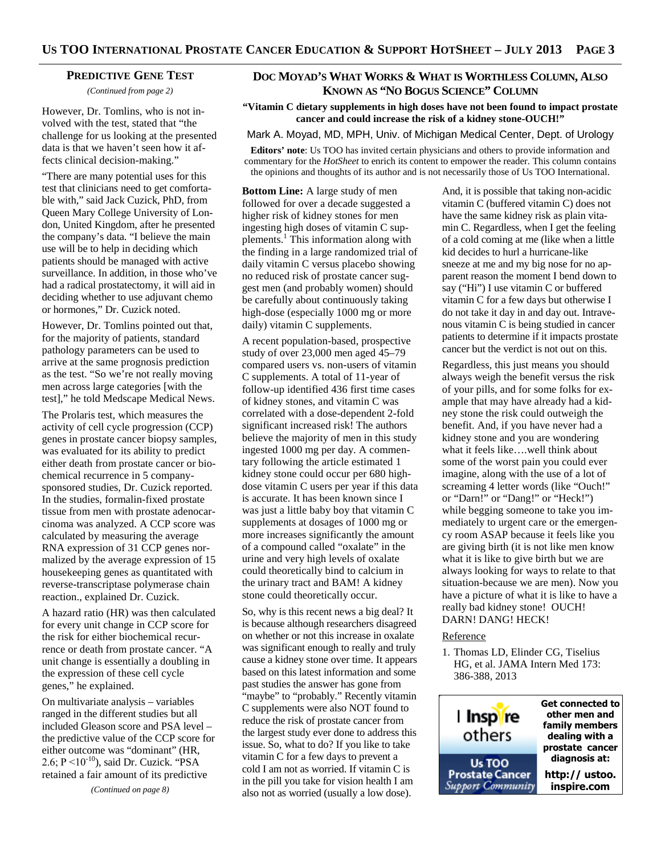#### **PREDICTIVE GENE TEST**

*(Continued from page 2)* 

However, Dr. Tomlins, who is not involved with the test, stated that "the challenge for us looking at the presented data is that we haven't seen how it affects clinical decision-making."

"There are many potential uses for this test that clinicians need to get comfortable with," said Jack Cuzick, PhD, from Queen Mary College University of London, United Kingdom, after he presented the company's data. "I believe the main use will be to help in deciding which patients should be managed with active surveillance. In addition, in those who've had a radical prostatectomy, it will aid in deciding whether to use adjuvant chemo or hormones," Dr. Cuzick noted.

However, Dr. Tomlins pointed out that, for the majority of patients, standard pathology parameters can be used to arrive at the same prognosis prediction as the test. "So we're not really moving men across large categories [with the test]," he told Medscape Medical News.

The Prolaris test, which measures the activity of cell cycle progression (CCP) genes in prostate cancer biopsy samples, was evaluated for its ability to predict either death from prostate cancer or biochemical recurrence in 5 companysponsored studies, Dr. Cuzick reported. In the studies, formalin-fixed prostate tissue from men with prostate adenocarcinoma was analyzed. A CCP score was calculated by measuring the average RNA expression of 31 CCP genes normalized by the average expression of 15 housekeeping genes as quantitated with reverse-transcriptase polymerase chain reaction., explained Dr. Cuzick.

A hazard ratio (HR) was then calculated for every unit change in CCP score for the risk for either biochemical recurrence or death from prostate cancer. "A unit change is essentially a doubling in the expression of these cell cycle genes," he explained.

On multivariate analysis – variables ranged in the different studies but all included Gleason score and PSA level – the predictive value of the CCP score for either outcome was "dominant" (HR, 2.6;  $P \le 10^{-10}$ ), said Dr. Cuzick. "PSA retained a fair amount of its predictive

*(Continued on page 8)* 

# **DOC MOYAD'S WHAT WORKS & WHAT IS WORTHLESS COLUMN, ALSO KNOWN AS "NO BOGUS SCIENCE" COLUMN**

**"Vitamin C dietary supplements in high doses have not been found to impact prostate cancer and could increase the risk of a kidney stone-OUCH!"**

Mark A. Moyad, MD, MPH, Univ. of Michigan Medical Center, Dept. of Urology

**Editors' note**: Us TOO has invited certain physicians and others to provide information and commentary for the *HotSheet* to enrich its content to empower the reader. This column contains the opinions and thoughts of its author and is not necessarily those of Us TOO International.

**Bottom Line:** A large study of men followed for over a decade suggested a higher risk of kidney stones for men ingesting high doses of vitamin C supplements.<sup>1</sup> This information along with the finding in a large randomized trial of daily vitamin C versus placebo showing no reduced risk of prostate cancer suggest men (and probably women) should be carefully about continuously taking high-dose (especially 1000 mg or more daily) vitamin C supplements.

A recent population-based, prospective study of over 23,000 men aged 45–79 compared users vs. non-users of vitamin C supplements. A total of 11-year of follow-up identified 436 first time cases of kidney stones, and vitamin C was correlated with a dose-dependent 2-fold significant increased risk! The authors believe the majority of men in this study ingested 1000 mg per day. A commentary following the article estimated 1 kidney stone could occur per 680 highdose vitamin C users per year if this data is accurate. It has been known since I was just a little baby boy that vitamin C supplements at dosages of 1000 mg or more increases significantly the amount of a compound called "oxalate" in the urine and very high levels of oxalate could theoretically bind to calcium in the urinary tract and BAM! A kidney stone could theoretically occur.

So, why is this recent news a big deal? It is because although researchers disagreed on whether or not this increase in oxalate was significant enough to really and truly cause a kidney stone over time. It appears based on this latest information and some past studies the answer has gone from "maybe" to "probably." Recently vitamin C supplements were also NOT found to reduce the risk of prostate cancer from the largest study ever done to address this issue. So, what to do? If you like to take vitamin C for a few days to prevent a cold I am not as worried. If vitamin C is in the pill you take for vision health I am also not as worried (usually a low dose).

And, it is possible that taking non-acidic vitamin C (buffered vitamin C) does not have the same kidney risk as plain vitamin C. Regardless, when I get the feeling of a cold coming at me (like when a little kid decides to hurl a hurricane-like sneeze at me and my big nose for no apparent reason the moment I bend down to say ("Hi") I use vitamin C or buffered vitamin C for a few days but otherwise I do not take it day in and day out. Intravenous vitamin C is being studied in cancer patients to determine if it impacts prostate cancer but the verdict is not out on this.

Regardless, this just means you should always weigh the benefit versus the risk of your pills, and for some folks for example that may have already had a kidney stone the risk could outweigh the benefit. And, if you have never had a kidney stone and you are wondering what it feels like….well think about some of the worst pain you could ever imagine, along with the use of a lot of screaming 4 letter words (like "Ouch!" or "Darn!" or "Dang!" or "Heck!") while begging someone to take you immediately to urgent care or the emergency room ASAP because it feels like you are giving birth (it is not like men know what it is like to give birth but we are always looking for ways to relate to that situation-because we are men). Now you have a picture of what it is like to have a really bad kidney stone! OUCH! DARN! DANG! HECK!

#### **Reference**

1. Thomas LD, Elinder CG, Tiselius HG, et al. JAMA Intern Med 173: 386-388, 2013

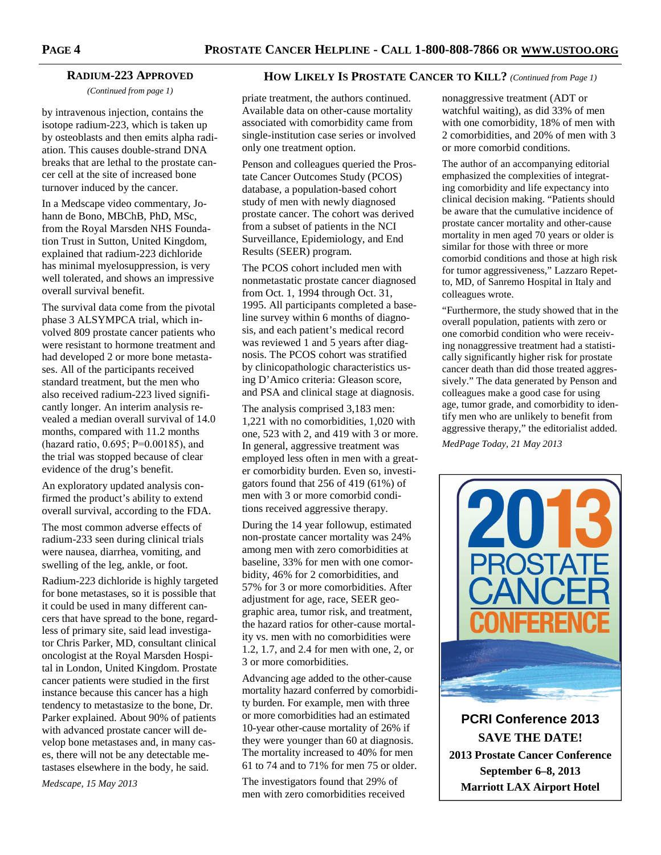# **RADIUM-223 APPROVED**

*(Continued from page 1)* 

by intravenous injection, contains the isotope radium-223, which is taken up by osteoblasts and then emits alpha radiation. This causes double-strand DNA breaks that are lethal to the prostate cancer cell at the site of increased bone turnover induced by the cancer.

In a Medscape video commentary, Johann de Bono, MBChB, PhD, MSc, from the Royal Marsden NHS Foundation Trust in Sutton, United Kingdom, explained that radium-223 dichloride has minimal myelosuppression, is very well tolerated, and shows an impressive overall survival benefit.

The survival data come from the pivotal phase 3 ALSYMPCA trial, which involved 809 prostate cancer patients who were resistant to hormone treatment and had developed 2 or more bone metastases. All of the participants received standard treatment, but the men who also received radium-223 lived significantly longer. An interim analysis revealed a median overall survival of 14.0 months, compared with 11.2 months (hazard ratio, 0.695; P=0.00185), and the trial was stopped because of clear evidence of the drug's benefit.

An exploratory updated analysis confirmed the product's ability to extend overall survival, according to the FDA.

The most common adverse effects of radium-233 seen during clinical trials were nausea, diarrhea, vomiting, and swelling of the leg, ankle, or foot.

Radium-223 dichloride is highly targeted for bone metastases, so it is possible that it could be used in many different cancers that have spread to the bone, regardless of primary site, said lead investigator Chris Parker, MD, consultant clinical oncologist at the Royal Marsden Hospital in London, United Kingdom. Prostate cancer patients were studied in the first instance because this cancer has a high tendency to metastasize to the bone, Dr. Parker explained. About 90% of patients with advanced prostate cancer will develop bone metastases and, in many cases, there will not be any detectable metastases elsewhere in the body, he said.

*Medscape, 15 May 2013* 

# **HOW LIKELY IS PROSTATE CANCER TO KILL?** *(Continued from Page 1)*

priate treatment, the authors continued. Available data on other-cause mortality associated with comorbidity came from single-institution case series or involved only one treatment option.

Penson and colleagues queried the Prostate Cancer Outcomes Study (PCOS) database, a population-based cohort study of men with newly diagnosed prostate cancer. The cohort was derived from a subset of patients in the NCI Surveillance, Epidemiology, and End Results (SEER) program.

The PCOS cohort included men with nonmetastatic prostate cancer diagnosed from Oct. 1, 1994 through Oct. 31, 1995. All participants completed a baseline survey within 6 months of diagnosis, and each patient's medical record was reviewed 1 and 5 years after diagnosis. The PCOS cohort was stratified by clinicopathologic characteristics using D'Amico criteria: Gleason score, and PSA and clinical stage at diagnosis.

The analysis comprised 3,183 men: 1,221 with no comorbidities, 1,020 with one, 523 with 2, and 419 with 3 or more. In general, aggressive treatment was employed less often in men with a greater comorbidity burden. Even so, investigators found that 256 of 419 (61%) of men with 3 or more comorbid conditions received aggressive therapy.

During the 14 year followup, estimated non-prostate cancer mortality was 24% among men with zero comorbidities at baseline, 33% for men with one comorbidity, 46% for 2 comorbidities, and 57% for 3 or more comorbidities. After adjustment for age, race, SEER geographic area, tumor risk, and treatment, the hazard ratios for other-cause mortality vs. men with no comorbidities were 1.2, 1.7, and 2.4 for men with one, 2, or 3 or more comorbidities.

Advancing age added to the other-cause mortality hazard conferred by comorbidity burden. For example, men with three or more comorbidities had an estimated 10-year other-cause mortality of 26% if they were younger than 60 at diagnosis. The mortality increased to 40% for men 61 to 74 and to 71% for men 75 or older.

The investigators found that 29% of men with zero comorbidities received

nonaggressive treatment (ADT or watchful waiting), as did 33% of men with one comorbidity, 18% of men with 2 comorbidities, and 20% of men with 3 or more comorbid conditions.

The author of an accompanying editorial emphasized the complexities of integrating comorbidity and life expectancy into clinical decision making. "Patients should be aware that the cumulative incidence of prostate cancer mortality and other-cause mortality in men aged 70 years or older is similar for those with three or more comorbid conditions and those at high risk for tumor aggressiveness," Lazzaro Repetto, MD, of Sanremo Hospital in Italy and colleagues wrote.

"Furthermore, the study showed that in the overall population, patients with zero or one comorbid condition who were receiving nonaggressive treatment had a statistically significantly higher risk for prostate cancer death than did those treated aggressively." The data generated by Penson and colleagues make a good case for using age, tumor grade, and comorbidity to identify men who are unlikely to benefit from aggressive therapy," the editorialist added. *MedPage Today, 21 May 2013* 



**PCRI Conference 2013 SAVE THE DATE! 2013 Prostate Cancer Conference September 6–8, 2013 Marriott LAX Airport Hotel**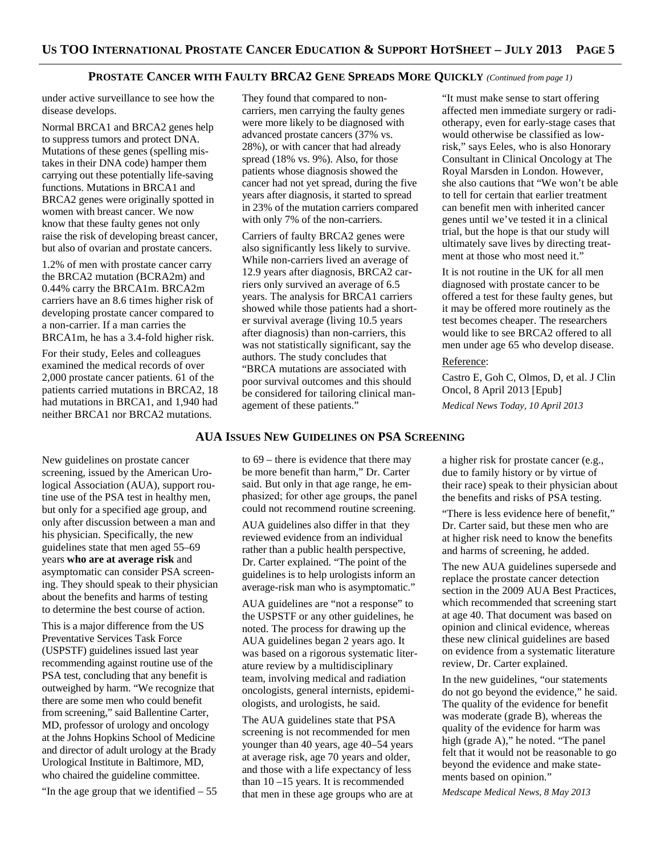#### **PROSTATE CANCER WITH FAULTY BRCA2 GENE SPREADS MORE QUICKLY** *(Continued from page 1)*

under active surveillance to see how the disease develops.

Normal BRCA1 and BRCA2 genes help to suppress tumors and protect DNA. Mutations of these genes (spelling mistakes in their DNA code) hamper them carrying out these potentially life-saving functions. Mutations in BRCA1 and BRCA2 genes were originally spotted in women with breast cancer. We now know that these faulty genes not only raise the risk of developing breast cancer, but also of ovarian and prostate cancers.

1.2% of men with prostate cancer carry the BRCA2 mutation (BCRA2m) and 0.44% carry the BRCA1m. BRCA2m carriers have an 8.6 times higher risk of developing prostate cancer compared to a non-carrier. If a man carries the BRCA1m, he has a 3.4-fold higher risk.

For their study, Eeles and colleagues examined the medical records of over 2,000 prostate cancer patients. 61 of the patients carried mutations in BRCA2, 18 had mutations in BRCA1, and 1,940 had neither BRCA1 nor BRCA2 mutations.

They found that compared to noncarriers, men carrying the faulty genes were more likely to be diagnosed with advanced prostate cancers (37% vs. 28%), or with cancer that had already spread (18% vs. 9%). Also, for those patients whose diagnosis showed the cancer had not yet spread, during the five years after diagnosis, it started to spread in 23% of the mutation carriers compared with only 7% of the non-carriers.

Carriers of faulty BRCA2 genes were also significantly less likely to survive. While non-carriers lived an average of 12.9 years after diagnosis, BRCA2 carriers only survived an average of 6.5 years. The analysis for BRCA1 carriers showed while those patients had a shorter survival average (living 10.5 years after diagnosis) than non-carriers, this was not statistically significant, say the authors. The study concludes that "BRCA mutations are associated with poor survival outcomes and this should be considered for tailoring clinical management of these patients."

"It must make sense to start offering affected men immediate surgery or radiotherapy, even for early-stage cases that would otherwise be classified as lowrisk," says Eeles, who is also Honorary Consultant in Clinical Oncology at The Royal Marsden in London. However, she also cautions that "We won't be able to tell for certain that earlier treatment can benefit men with inherited cancer genes until we've tested it in a clinical trial, but the hope is that our study will ultimately save lives by directing treatment at those who most need it."

It is not routine in the UK for all men diagnosed with prostate cancer to be offered a test for these faulty genes, but it may be offered more routinely as the test becomes cheaper. The researchers would like to see BRCA2 offered to all men under age 65 who develop disease.

# Reference:

Castro E, Goh C, Olmos, D, et al. J Clin Oncol, 8 April 2013 [Epub] *Medical News Today, 10 April 2013* 

# **AUA ISSUES NEW GUIDELINES ON PSA SCREENING**

New guidelines on prostate cancer screening, issued by the American Urological Association (AUA), support routine use of the PSA test in healthy men, but only for a specified age group, and only after discussion between a man and his physician. Specifically, the new guidelines state that men aged 55–69 years **who are at average risk** and asymptomatic can consider PSA screening. They should speak to their physician about the benefits and harms of testing to determine the best course of action.

This is a major difference from the US Preventative Services Task Force (USPSTF) guidelines issued last year recommending against routine use of the PSA test, concluding that any benefit is outweighed by harm. "We recognize that there are some men who could benefit from screening," said Ballentine Carter, MD, professor of urology and oncology at the Johns Hopkins School of Medicine and director of adult urology at the Brady Urological Institute in Baltimore, MD, who chaired the guideline committee.

"In the age group that we identified  $-55$ 

to 69 – there is evidence that there may be more benefit than harm," Dr. Carter said. But only in that age range, he emphasized; for other age groups, the panel could not recommend routine screening.

AUA guidelines also differ in that they reviewed evidence from an individual rather than a public health perspective, Dr. Carter explained. "The point of the guidelines is to help urologists inform an average-risk man who is asymptomatic."

AUA guidelines are "not a response" to the USPSTF or any other guidelines, he noted. The process for drawing up the AUA guidelines began 2 years ago. It was based on a rigorous systematic literature review by a multidisciplinary team, involving medical and radiation oncologists, general internists, epidemiologists, and urologists, he said.

The AUA guidelines state that PSA screening is not recommended for men younger than 40 years, age 40–54 years at average risk, age 70 years and older, and those with a life expectancy of less than 10 –15 years. It is recommended that men in these age groups who are at

a higher risk for prostate cancer (e.g., due to family history or by virtue of their race) speak to their physician about the benefits and risks of PSA testing.

"There is less evidence here of benefit," Dr. Carter said, but these men who are at higher risk need to know the benefits and harms of screening, he added.

The new AUA guidelines supersede and replace the prostate cancer detection section in the 2009 AUA Best Practices, which recommended that screening start at age 40. That document was based on opinion and clinical evidence, whereas these new clinical guidelines are based on evidence from a systematic literature review, Dr. Carter explained.

In the new guidelines, "our statements do not go beyond the evidence," he said. The quality of the evidence for benefit was moderate (grade B), whereas the quality of the evidence for harm was high (grade A)," he noted. "The panel felt that it would not be reasonable to go beyond the evidence and make statements based on opinion."

*Medscape Medical News, 8 May 2013*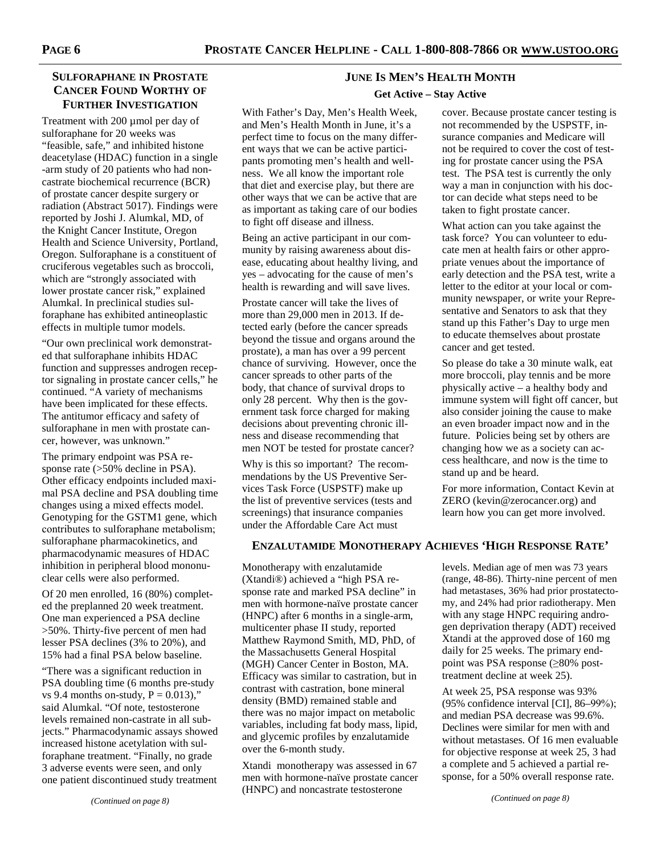# **SULFORAPHANE IN PROSTATE CANCER FOUND WORTHY OF FURTHER INVESTIGATION**

Treatment with 200 µmol per day of sulforaphane for 20 weeks was "feasible, safe," and inhibited histone deacetylase (HDAC) function in a single -arm study of 20 patients who had noncastrate biochemical recurrence (BCR) of prostate cancer despite surgery or radiation (Abstract 5017). Findings were reported by Joshi J. Alumkal, MD, of the Knight Cancer Institute, Oregon Health and Science University, Portland, Oregon. Sulforaphane is a constituent of cruciferous vegetables such as broccoli, which are "strongly associated with lower prostate cancer risk," explained Alumkal. In preclinical studies sulforaphane has exhibited antineoplastic effects in multiple tumor models.

"Our own preclinical work demonstrated that sulforaphane inhibits HDAC function and suppresses androgen receptor signaling in prostate cancer cells," he continued. "A variety of mechanisms have been implicated for these effects. The antitumor efficacy and safety of sulforaphane in men with prostate cancer, however, was unknown."

The primary endpoint was PSA response rate (>50% decline in PSA). Other efficacy endpoints included maximal PSA decline and PSA doubling time changes using a mixed effects model. Genotyping for the GSTM1 gene, which contributes to sulforaphane metabolism; sulforaphane pharmacokinetics, and pharmacodynamic measures of HDAC inhibition in peripheral blood mononuclear cells were also performed.

Of 20 men enrolled, 16 (80%) completed the preplanned 20 week treatment. One man experienced a PSA decline >50%. Thirty-five percent of men had lesser PSA declines (3% to 20%), and 15% had a final PSA below baseline.

"There was a significant reduction in PSA doubling time (6 months pre-study vs 9.4 months on-study,  $P = 0.013$ )," said Alumkal. "Of note, testosterone levels remained non-castrate in all subjects." Pharmacodynamic assays showed increased histone acetylation with sulforaphane treatment. "Finally, no grade 3 adverse events were seen, and only one patient discontinued study treatment

# **JUNE IS MEN'S HEALTH MONTH Get Active – Stay Active**

With Father's Day, Men's Health Week, and Men's Health Month in June, it's a perfect time to focus on the many different ways that we can be active participants promoting men's health and wellness. We all know the important role that diet and exercise play, but there are other ways that we can be active that are as important as taking care of our bodies to fight off disease and illness.

Being an active participant in our community by raising awareness about disease, educating about healthy living, and yes – advocating for the cause of men's health is rewarding and will save lives.

Prostate cancer will take the lives of more than 29,000 men in 2013. If detected early (before the cancer spreads beyond the tissue and organs around the prostate), a man has over a 99 percent chance of surviving. However, once the cancer spreads to other parts of the body, that chance of survival drops to only 28 percent. Why then is the government task force charged for making decisions about preventing chronic illness and disease recommending that men NOT be tested for prostate cancer?

Why is this so important? The recommendations by the US Preventive Services Task Force (USPSTF) make up the list of preventive services (tests and screenings) that insurance companies under the Affordable Care Act must

cover. Because prostate cancer testing is not recommended by the USPSTF, insurance companies and Medicare will not be required to cover the cost of testing for prostate cancer using the PSA test. The PSA test is currently the only way a man in conjunction with his doctor can decide what steps need to be taken to fight prostate cancer.

What action can you take against the task force? You can volunteer to educate men at health fairs or other appropriate venues about the importance of early detection and the PSA test, write a letter to the editor at your local or community newspaper, or write your Representative and Senators to ask that they stand up this Father's Day to urge men to educate themselves about prostate cancer and get tested.

So please do take a 30 minute walk, eat more broccoli, play tennis and be more physically active – a healthy body and immune system will fight off cancer, but also consider joining the cause to make an even broader impact now and in the future. Policies being set by others are changing how we as a society can access healthcare, and now is the time to stand up and be heard.

For more information, Contact Kevin at ZERO (kevin@zerocancer.org) and learn how you can get more involved.

# **ENZALUTAMIDE MONOTHERAPY ACHIEVES 'HIGH RESPONSE RATE'**

Monotherapy with enzalutamide (Xtandi®) achieved a "high PSA response rate and marked PSA decline" in men with hormone-naïve prostate cancer (HNPC) after 6 months in a single-arm, multicenter phase II study, reported Matthew Raymond Smith, MD, PhD, of the Massachusetts General Hospital (MGH) Cancer Center in Boston, MA. Efficacy was similar to castration, but in contrast with castration, bone mineral density (BMD) remained stable and there was no major impact on metabolic variables, including fat body mass, lipid, and glycemic profiles by enzalutamide over the 6-month study.

Xtandi monotherapy was assessed in 67 men with hormone-naïve prostate cancer (HNPC) and noncastrate testosterone

levels. Median age of men was 73 years (range, 48-86). Thirty-nine percent of men had metastases, 36% had prior prostatectomy, and 24% had prior radiotherapy. Men with any stage HNPC requiring androgen deprivation therapy (ADT) received Xtandi at the approved dose of 160 mg daily for 25 weeks. The primary endpoint was PSA response (≥80% posttreatment decline at week 25).

At week 25, PSA response was 93% (95% confidence interval [CI], 86–99%); and median PSA decrease was 99.6%. Declines were similar for men with and without metastases. Of 16 men evaluable for objective response at week 25, 3 had a complete and 5 achieved a partial response, for a 50% overall response rate.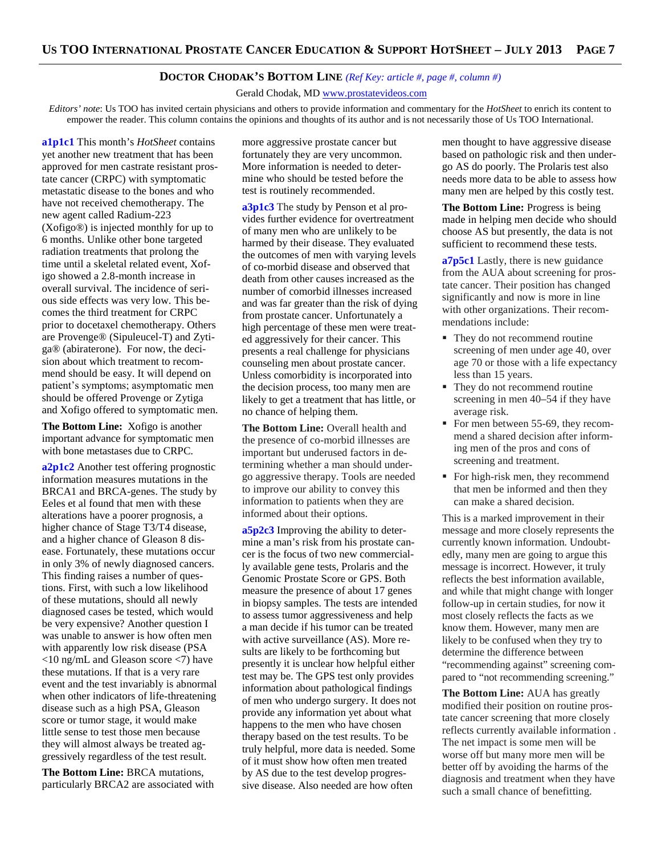# **DOCTOR CHODAK'S BOTTOM LINE** *(Ref Key: article #, page #, column #)*

Gerald Chodak, MD www.prostatevideos.com

*Editors' note*: Us TOO has invited certain physicians and others to provide information and commentary for the *HotSheet* to enrich its content to empower the reader. This column contains the opinions and thoughts of its author and is not necessarily those of Us TOO International.

**a1p1c1** This month's *HotSheet* contains yet another new treatment that has been approved for men castrate resistant prostate cancer (CRPC) with symptomatic metastatic disease to the bones and who have not received chemotherapy. The new agent called Radium-223 (Xofigo®) is injected monthly for up to 6 months. Unlike other bone targeted radiation treatments that prolong the time until a skeletal related event, Xofigo showed a 2.8-month increase in overall survival. The incidence of serious side effects was very low. This becomes the third treatment for CRPC prior to docetaxel chemotherapy. Others are Provenge® (Sipuleucel-T) and Zytiga® (abiraterone). For now, the decision about which treatment to recommend should be easy. It will depend on patient's symptoms; asymptomatic men should be offered Provenge or Zytiga and Xofigo offered to symptomatic men.

**The Bottom Line:** Xofigo is another important advance for symptomatic men with bone metastases due to CRPC.

**a2p1c2** Another test offering prognostic information measures mutations in the BRCA1 and BRCA-genes. The study by Eeles et al found that men with these alterations have a poorer prognosis, a higher chance of Stage T3/T4 disease, and a higher chance of Gleason 8 disease. Fortunately, these mutations occur in only 3% of newly diagnosed cancers. This finding raises a number of questions. First, with such a low likelihood of these mutations, should all newly diagnosed cases be tested, which would be very expensive? Another question I was unable to answer is how often men with apparently low risk disease (PSA <10 ng/mL and Gleason score <7) have these mutations. If that is a very rare event and the test invariably is abnormal when other indicators of life-threatening disease such as a high PSA, Gleason score or tumor stage, it would make little sense to test those men because they will almost always be treated aggressively regardless of the test result.

**The Bottom Line:** BRCA mutations, particularly BRCA2 are associated with more aggressive prostate cancer but fortunately they are very uncommon. More information is needed to determine who should be tested before the test is routinely recommended.

**a3p1c3** The study by Penson et al provides further evidence for overtreatment of many men who are unlikely to be harmed by their disease. They evaluated the outcomes of men with varying levels of co-morbid disease and observed that death from other causes increased as the number of comorbid illnesses increased and was far greater than the risk of dying from prostate cancer. Unfortunately a high percentage of these men were treated aggressively for their cancer. This presents a real challenge for physicians counseling men about prostate cancer. Unless comorbidity is incorporated into the decision process, too many men are likely to get a treatment that has little, or no chance of helping them.

**The Bottom Line:** Overall health and the presence of co-morbid illnesses are important but underused factors in determining whether a man should undergo aggressive therapy. Tools are needed to improve our ability to convey this information to patients when they are informed about their options.

**a5p2c3** Improving the ability to determine a man's risk from his prostate cancer is the focus of two new commercially available gene tests, Prolaris and the Genomic Prostate Score or GPS. Both measure the presence of about 17 genes in biopsy samples. The tests are intended to assess tumor aggressiveness and help a man decide if his tumor can be treated with active surveillance (AS). More results are likely to be forthcoming but presently it is unclear how helpful either test may be. The GPS test only provides information about pathological findings of men who undergo surgery. It does not provide any information yet about what happens to the men who have chosen therapy based on the test results. To be truly helpful, more data is needed. Some of it must show how often men treated by AS due to the test develop progressive disease. Also needed are how often

men thought to have aggressive disease based on pathologic risk and then undergo AS do poorly. The Prolaris test also needs more data to be able to assess how many men are helped by this costly test.

**The Bottom Line:** Progress is being made in helping men decide who should choose AS but presently, the data is not sufficient to recommend these tests.

**a7p5c1** Lastly, there is new guidance from the AUA about screening for prostate cancer. Their position has changed significantly and now is more in line with other organizations. Their recommendations include:

- They do not recommend routine screening of men under age 40, over age 70 or those with a life expectancy less than 15 years.
- They do not recommend routine screening in men 40–54 if they have average risk.
- For men between 55-69, they recommend a shared decision after informing men of the pros and cons of screening and treatment.
- For high-risk men, they recommend that men be informed and then they can make a shared decision.

This is a marked improvement in their message and more closely represents the currently known information. Undoubtedly, many men are going to argue this message is incorrect. However, it truly reflects the best information available, and while that might change with longer follow-up in certain studies, for now it most closely reflects the facts as we know them. However, many men are likely to be confused when they try to determine the difference between "recommending against" screening compared to "not recommending screening."

**The Bottom Line:** AUA has greatly modified their position on routine prostate cancer screening that more closely reflects currently available information . The net impact is some men will be worse off but many more men will be better off by avoiding the harms of the diagnosis and treatment when they have such a small chance of benefitting.